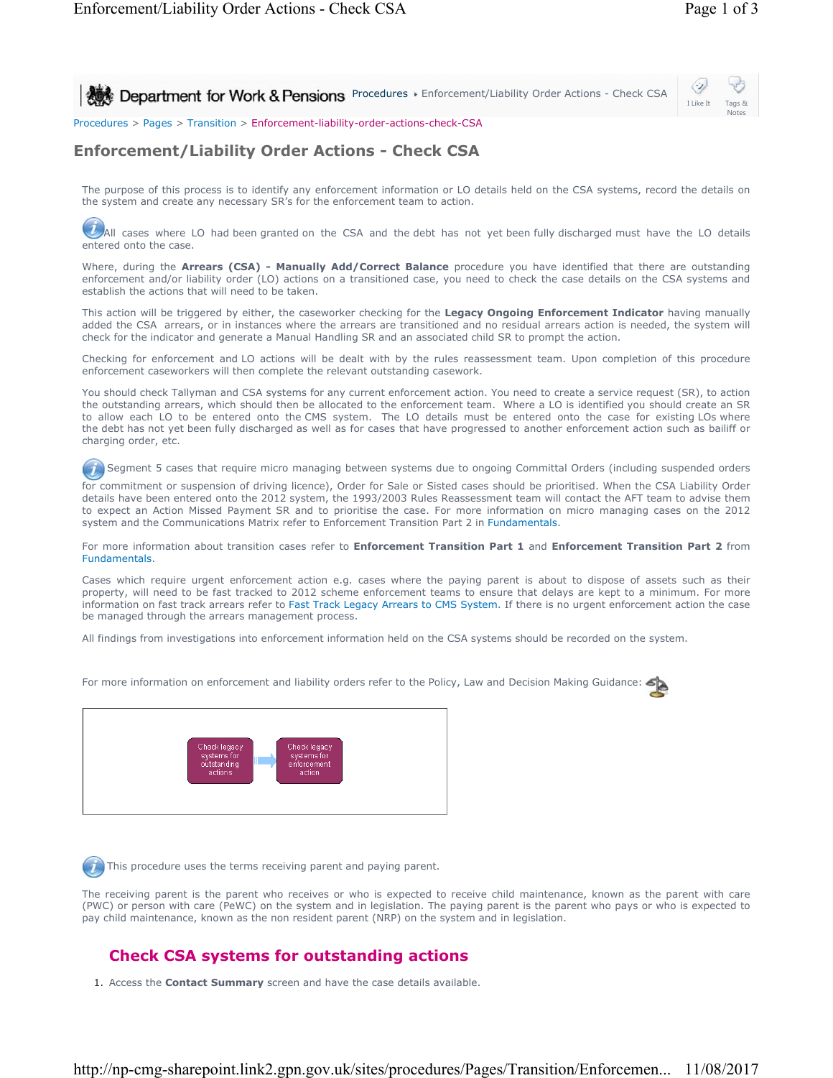**Procedures > Enforcement/Liability Order Actions - Check CSA** 



Procedures > Pages > Transition > Enforcement-liability-order-actions-check-CSA

## **Enforcement/Liability Order Actions - Check CSA**

The purpose of this process is to identify any enforcement information or LO details held on the CSA systems, record the details on the system and create any necessary SR's for the enforcement team to action.

All cases where LO had been granted on the CSA and the debt has not yet been fully discharged must have the LO details entered onto the case.

Where, during the **Arrears (CSA) - Manually Add/Correct Balance** procedure you have identified that there are outstanding enforcement and/or liability order (LO) actions on a transitioned case, you need to check the case details on the CSA systems and establish the actions that will need to be taken.

This action will be triggered by either, the caseworker checking for the **Legacy Ongoing Enforcement Indicator** having manually added the CSA arrears, or in instances where the arrears are transitioned and no residual arrears action is needed, the system will check for the indicator and generate a Manual Handling SR and an associated child SR to prompt the action.

Checking for enforcement and LO actions will be dealt with by the rules reassessment team. Upon completion of this procedure enforcement caseworkers will then complete the relevant outstanding casework.

You should check Tallyman and CSA systems for any current enforcement action. You need to create a service request (SR), to action the outstanding arrears, which should then be allocated to the enforcement team. Where a LO is identified you should create an SR to allow each LO to be entered onto the CMS system. The LO details must be entered onto the case for existing LOs where the debt has not yet been fully discharged as well as for cases that have progressed to another enforcement action such as bailiff or charging order, etc.

 $(7)$  Segment 5 cases that require micro managing between systems due to ongoing Committal Orders (including suspended orders

for commitment or suspension of driving licence), Order for Sale or Sisted cases should be prioritised. When the CSA Liability Order details have been entered onto the 2012 system, the 1993/2003 Rules Reassessment team will contact the AFT team to advise them to expect an Action Missed Payment SR and to prioritise the case. For more information on micro managing cases on the 2012 system and the Communications Matrix refer to Enforcement Transition Part 2 in Fundamentals.

For more information about transition cases refer to **Enforcement Transition Part 1** and **Enforcement Transition Part 2** from Fundamentals.

Cases which require urgent enforcement action e.g. cases where the paying parent is about to dispose of assets such as their property, will need to be fast tracked to 2012 scheme enforcement teams to ensure that delays are kept to a minimum. For more information on fast track arrears refer to Fast Track Legacy Arrears to CMS System. If there is no urgent enforcement action the case be managed through the arrears management process.

All findings from investigations into enforcement information held on the CSA systems should be recorded on the system.

Check legad

For more information on enforcement and liability orders refer to the Policy, Law and Decision Making Guidance:

This procedure uses the terms receiving parent and paying parent.

The receiving parent is the parent who receives or who is expected to receive child maintenance, known as the parent with care (PWC) or person with care (PeWC) on the system and in legislation. The paying parent is the parent who pays or who is expected to pay child maintenance, known as the non resident parent (NRP) on the system and in legislation.

## **Check CSA systems for outstanding actions**

1. Access the **Contact Summary** screen and have the case details available.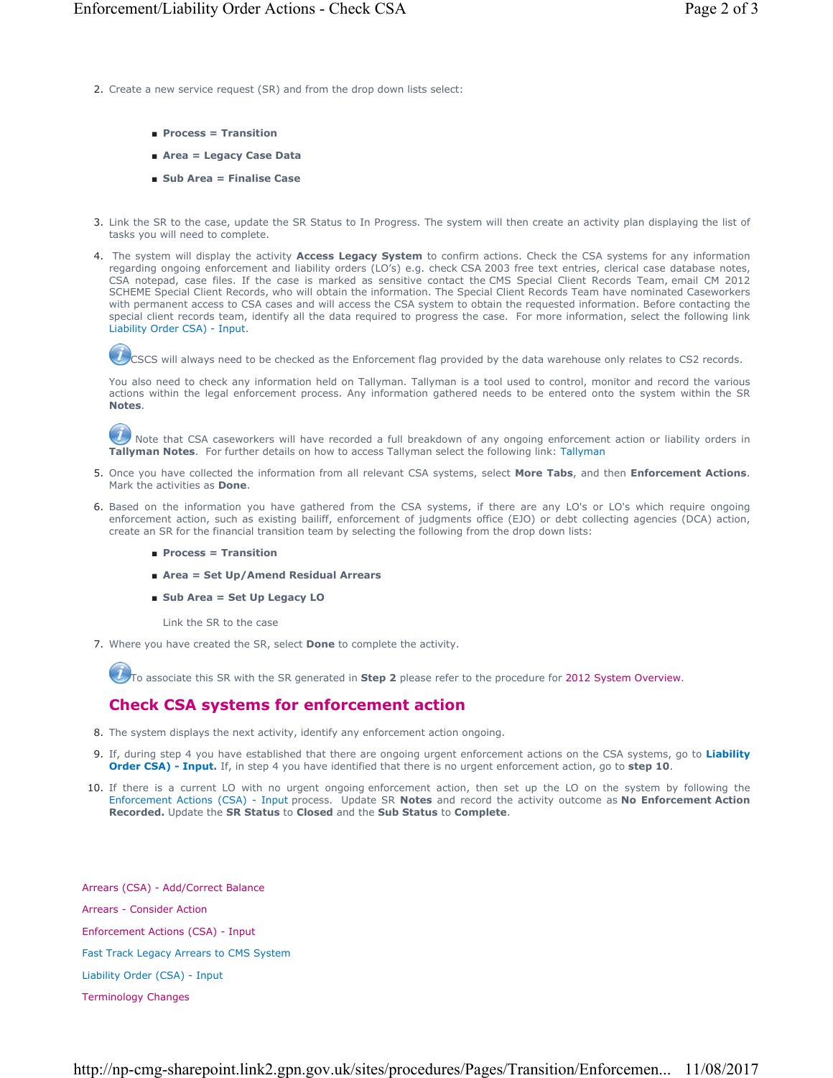- 2. Create a new service request (SR) and from the drop down lists select:
	- **Process = Transition**
	- **Area = Legacy Case Data**
	- **Sub Area = Finalise Case**
- Link the SR to the case, update the SR Status to In Progress. The system will then create an activity plan displaying the list of 3. tasks you will need to complete.
- 4. The system will display the activity **Access Legacy System** to confirm actions. Check the CSA systems for any information regarding ongoing enforcement and liability orders (LO's) e.g. check CSA 2003 free text entries, clerical case database notes, CSA notepad, case files. If the case is marked as sensitive contact the CMS Special Client Records Team, email CM 2012 SCHEME Special Client Records, who will obtain the information. The Special Client Records Team have nominated Caseworkers with permanent access to CSA cases and will access the CSA system to obtain the requested information. Before contacting the special client records team, identify all the data required to progress the case. For more information, select the following link Liability Order CSA) - Input.

CSCS will always need to be checked as the Enforcement flag provided by the data warehouse only relates to CS2 records.

You also need to check any information held on Tallyman. Tallyman is a tool used to control, monitor and record the various actions within the legal enforcement process. Any information gathered needs to be entered onto the system within the SR **Notes**.

Note that CSA caseworkers will have recorded a full breakdown of any ongoing enforcement action or liability orders in **Tallyman Notes**. For further details on how to access Tallyman select the following link: Tallyman

- Once you have collected the information from all relevant CSA systems, select **More Tabs**, and then **Enforcement Actions**. 5. Mark the activities as **Done**.
- 6. Based on the information you have gathered from the CSA systems, if there are any LO's or LO's which require ongoing enforcement action, such as existing bailiff, enforcement of judgments office (EJO) or debt collecting agencies (DCA) action, create an SR for the financial transition team by selecting the following from the drop down lists:
	- **Process = Transition**
	- **Area = Set Up/Amend Residual Arrears**
	- Sub Area = Set Up Legacy LO

Link the SR to the case

Where you have created the SR, select **Done** to complete the activity. 7.

To associate this SR with the SR generated in **Step 2** please refer to the procedure for 2012 System Overview.

## **Check CSA systems for enforcement action**

- 8. The system displays the next activity, identify any enforcement action ongoing.
- If, during step 4 you have established that there are ongoing urgent enforcement actions on the CSA systems, go to **Liability**  9. **Order CSA) - Input.** If, in step 4 you have identified that there is no urgent enforcement action, go to **step 10**.
- If there is a current LO with no urgent ongoing enforcement action, then set up the LO on the system by following the 10. Enforcement Actions (CSA) - Input process. Update SR **Notes** and record the activity outcome as **No Enforcement Action Recorded.** Update the **SR Status** to **Closed** and the **Sub Status** to **Complete**.

Arrears (CSA) - Add/Correct Balance Arrears - Consider Action Enforcement Actions (CSA) - Input Fast Track Legacy Arrears to CMS System Liability Order (CSA) - Input Terminology Changes